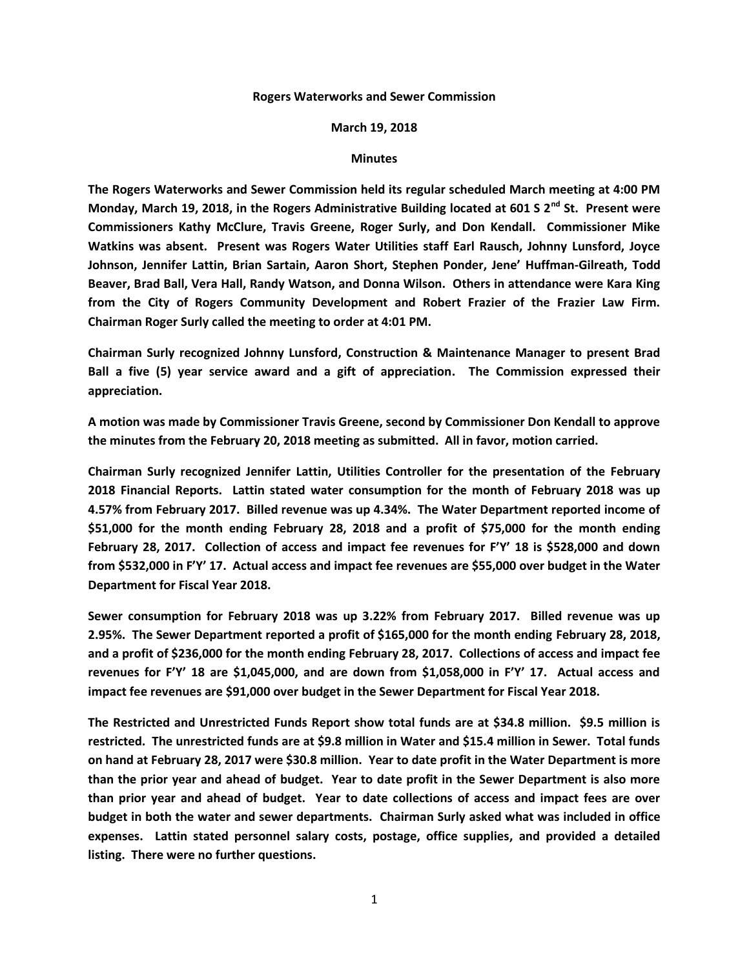## **Rogers Waterworks and Sewer Commission**

## **March 19, 2018**

## **Minutes**

**The Rogers Waterworks and Sewer Commission held its regular scheduled March meeting at 4:00 PM Monday, March 19, 2018, in the Rogers Administrative Building located at 601 S 2nd St. Present were Commissioners Kathy McClure, Travis Greene, Roger Surly, and Don Kendall. Commissioner Mike Watkins was absent. Present was Rogers Water Utilities staff Earl Rausch, Johnny Lunsford, Joyce Johnson, Jennifer Lattin, Brian Sartain, Aaron Short, Stephen Ponder, Jene' Huffman-Gilreath, Todd Beaver, Brad Ball, Vera Hall, Randy Watson, and Donna Wilson. Others in attendance were Kara King from the City of Rogers Community Development and Robert Frazier of the Frazier Law Firm. Chairman Roger Surly called the meeting to order at 4:01 PM.**

**Chairman Surly recognized Johnny Lunsford, Construction & Maintenance Manager to present Brad Ball a five (5) year service award and a gift of appreciation. The Commission expressed their appreciation.**

**A motion was made by Commissioner Travis Greene, second by Commissioner Don Kendall to approve the minutes from the February 20, 2018 meeting as submitted. All in favor, motion carried.**

**Chairman Surly recognized Jennifer Lattin, Utilities Controller for the presentation of the February 2018 Financial Reports. Lattin stated water consumption for the month of February 2018 was up 4.57% from February 2017. Billed revenue was up 4.34%. The Water Department reported income of \$51,000 for the month ending February 28, 2018 and a profit of \$75,000 for the month ending February 28, 2017. Collection of access and impact fee revenues for F'Y' 18 is \$528,000 and down from \$532,000 in F'Y' 17. Actual access and impact fee revenues are \$55,000 over budget in the Water Department for Fiscal Year 2018.**

**Sewer consumption for February 2018 was up 3.22% from February 2017. Billed revenue was up 2.95%. The Sewer Department reported a profit of \$165,000 for the month ending February 28, 2018, and a profit of \$236,000 for the month ending February 28, 2017. Collections of access and impact fee revenues for F'Y' 18 are \$1,045,000, and are down from \$1,058,000 in F'Y' 17. Actual access and impact fee revenues are \$91,000 over budget in the Sewer Department for Fiscal Year 2018.**

**The Restricted and Unrestricted Funds Report show total funds are at \$34.8 million. \$9.5 million is restricted. The unrestricted funds are at \$9.8 million in Water and \$15.4 million in Sewer. Total funds on hand at February 28, 2017 were \$30.8 million. Year to date profit in the Water Department is more than the prior year and ahead of budget. Year to date profit in the Sewer Department is also more than prior year and ahead of budget. Year to date collections of access and impact fees are over budget in both the water and sewer departments. Chairman Surly asked what was included in office expenses. Lattin stated personnel salary costs, postage, office supplies, and provided a detailed listing. There were no further questions.**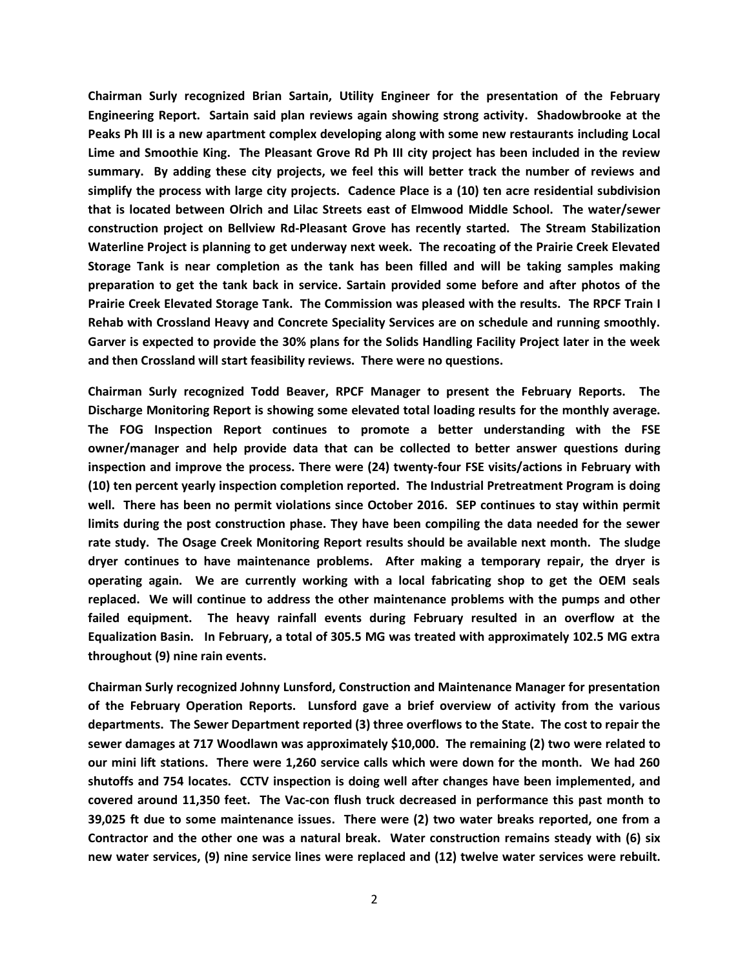**Chairman Surly recognized Brian Sartain, Utility Engineer for the presentation of the February Engineering Report. Sartain said plan reviews again showing strong activity. Shadowbrooke at the Peaks Ph III is a new apartment complex developing along with some new restaurants including Local Lime and Smoothie King. The Pleasant Grove Rd Ph III city project has been included in the review summary. By adding these city projects, we feel this will better track the number of reviews and simplify the process with large city projects. Cadence Place is a (10) ten acre residential subdivision that is located between Olrich and Lilac Streets east of Elmwood Middle School. The water/sewer construction project on Bellview Rd-Pleasant Grove has recently started. The Stream Stabilization Waterline Project is planning to get underway next week. The recoating of the Prairie Creek Elevated Storage Tank is near completion as the tank has been filled and will be taking samples making preparation to get the tank back in service. Sartain provided some before and after photos of the Prairie Creek Elevated Storage Tank. The Commission was pleased with the results. The RPCF Train I Rehab with Crossland Heavy and Concrete Speciality Services are on schedule and running smoothly. Garver is expected to provide the 30% plans for the Solids Handling Facility Project later in the week and then Crossland will start feasibility reviews. There were no questions.**

**Chairman Surly recognized Todd Beaver, RPCF Manager to present the February Reports. The Discharge Monitoring Report is showing some elevated total loading results for the monthly average. The FOG Inspection Report continues to promote a better understanding with the FSE owner/manager and help provide data that can be collected to better answer questions during inspection and improve the process. There were (24) twenty-four FSE visits/actions in February with (10) ten percent yearly inspection completion reported. The Industrial Pretreatment Program is doing well. There has been no permit violations since October 2016. SEP continues to stay within permit limits during the post construction phase. They have been compiling the data needed for the sewer rate study. The Osage Creek Monitoring Report results should be available next month. The sludge dryer continues to have maintenance problems. After making a temporary repair, the dryer is operating again. We are currently working with a local fabricating shop to get the OEM seals replaced. We will continue to address the other maintenance problems with the pumps and other failed equipment. The heavy rainfall events during February resulted in an overflow at the Equalization Basin. In February, a total of 305.5 MG was treated with approximately 102.5 MG extra throughout (9) nine rain events.**

**Chairman Surly recognized Johnny Lunsford, Construction and Maintenance Manager for presentation of the February Operation Reports. Lunsford gave a brief overview of activity from the various departments. The Sewer Department reported (3) three overflows to the State. The cost to repair the sewer damages at 717 Woodlawn was approximately \$10,000. The remaining (2) two were related to our mini lift stations. There were 1,260 service calls which were down for the month. We had 260 shutoffs and 754 locates. CCTV inspection is doing well after changes have been implemented, and covered around 11,350 feet. The Vac-con flush truck decreased in performance this past month to 39,025 ft due to some maintenance issues. There were (2) two water breaks reported, one from a Contractor and the other one was a natural break. Water construction remains steady with (6) six new water services, (9) nine service lines were replaced and (12) twelve water services were rebuilt.**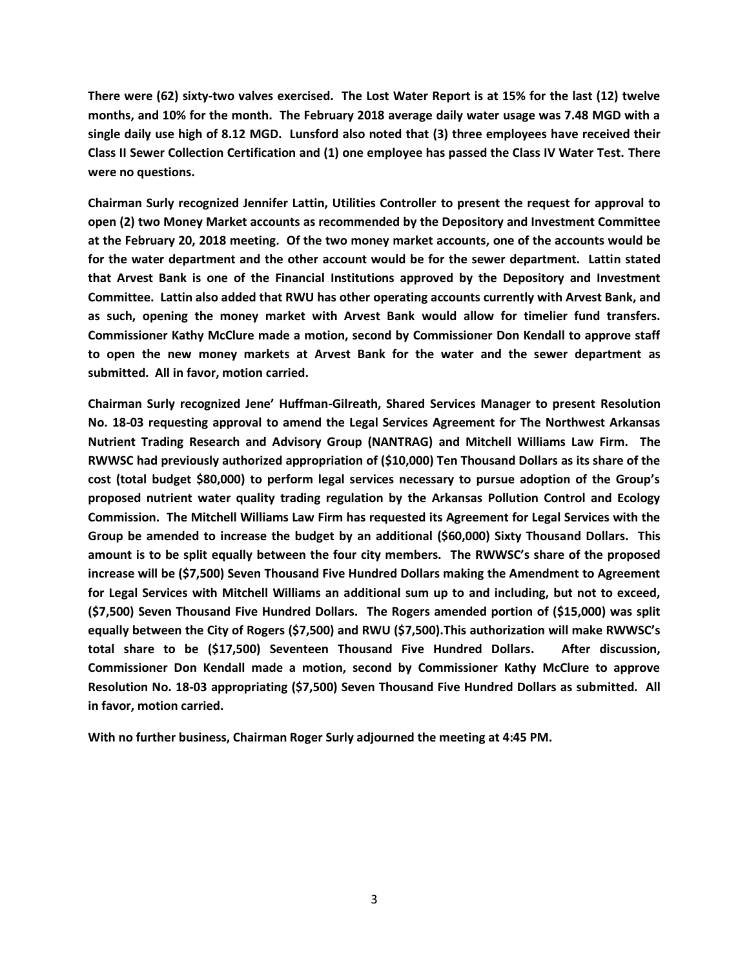**There were (62) sixty-two valves exercised. The Lost Water Report is at 15% for the last (12) twelve months, and 10% for the month. The February 2018 average daily water usage was 7.48 MGD with a single daily use high of 8.12 MGD. Lunsford also noted that (3) three employees have received their Class II Sewer Collection Certification and (1) one employee has passed the Class IV Water Test. There were no questions.**

**Chairman Surly recognized Jennifer Lattin, Utilities Controller to present the request for approval to open (2) two Money Market accounts as recommended by the Depository and Investment Committee at the February 20, 2018 meeting. Of the two money market accounts, one of the accounts would be for the water department and the other account would be for the sewer department. Lattin stated that Arvest Bank is one of the Financial Institutions approved by the Depository and Investment Committee. Lattin also added that RWU has other operating accounts currently with Arvest Bank, and as such, opening the money market with Arvest Bank would allow for timelier fund transfers. Commissioner Kathy McClure made a motion, second by Commissioner Don Kendall to approve staff to open the new money markets at Arvest Bank for the water and the sewer department as submitted. All in favor, motion carried.**

**Chairman Surly recognized Jene' Huffman-Gilreath, Shared Services Manager to present Resolution No. 18-03 requesting approval to amend the Legal Services Agreement for The Northwest Arkansas Nutrient Trading Research and Advisory Group (NANTRAG) and Mitchell Williams Law Firm. The RWWSC had previously authorized appropriation of (\$10,000) Ten Thousand Dollars as its share of the cost (total budget \$80,000) to perform legal services necessary to pursue adoption of the Group's proposed nutrient water quality trading regulation by the Arkansas Pollution Control and Ecology Commission. The Mitchell Williams Law Firm has requested its Agreement for Legal Services with the Group be amended to increase the budget by an additional (\$60,000) Sixty Thousand Dollars. This amount is to be split equally between the four city members. The RWWSC's share of the proposed increase will be (\$7,500) Seven Thousand Five Hundred Dollars making the Amendment to Agreement for Legal Services with Mitchell Williams an additional sum up to and including, but not to exceed, (\$7,500) Seven Thousand Five Hundred Dollars. The Rogers amended portion of (\$15,000) was split equally between the City of Rogers (\$7,500) and RWU (\$7,500).This authorization will make RWWSC's total share to be (\$17,500) Seventeen Thousand Five Hundred Dollars. After discussion, Commissioner Don Kendall made a motion, second by Commissioner Kathy McClure to approve Resolution No. 18-03 appropriating (\$7,500) Seven Thousand Five Hundred Dollars as submitted. All in favor, motion carried.**

**With no further business, Chairman Roger Surly adjourned the meeting at 4:45 PM.**